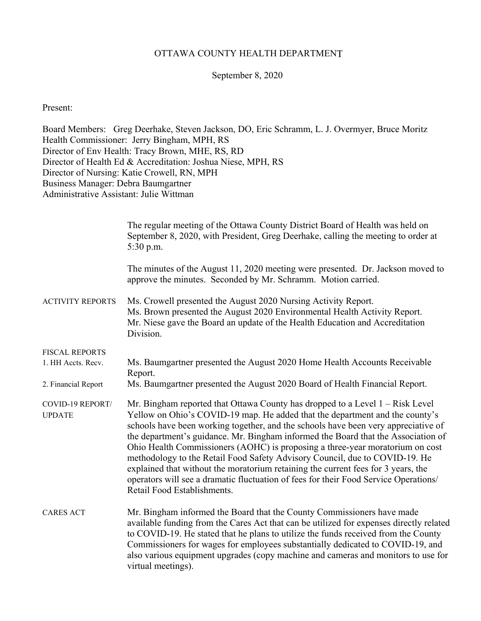### OTTAWA COUNTY HEALTH DEPARTMENT

#### September 8, 2020

Present:

Board Members: Greg Deerhake, Steven Jackson, DO, Eric Schramm, L. J. Overmyer, Bruce Moritz Health Commissioner: Jerry Bingham, MPH, RS Director of Env Health: Tracy Brown, MHE, RS, RD Director of Health Ed & Accreditation: Joshua Niese, MPH, RS Director of Nursing: Katie Crowell, RN, MPH Business Manager: Debra Baumgartner Administrative Assistant: Julie Wittman

|                                   | The regular meeting of the Ottawa County District Board of Health was held on<br>September 8, 2020, with President, Greg Deerhake, calling the meeting to order at<br>5:30 p.m.                                                                                                                                                                                                                                                                                                                                                                                                                                                                                                                                        |
|-----------------------------------|------------------------------------------------------------------------------------------------------------------------------------------------------------------------------------------------------------------------------------------------------------------------------------------------------------------------------------------------------------------------------------------------------------------------------------------------------------------------------------------------------------------------------------------------------------------------------------------------------------------------------------------------------------------------------------------------------------------------|
|                                   | The minutes of the August 11, 2020 meeting were presented. Dr. Jackson moved to<br>approve the minutes. Seconded by Mr. Schramm. Motion carried.                                                                                                                                                                                                                                                                                                                                                                                                                                                                                                                                                                       |
| <b>ACTIVITY REPORTS</b>           | Ms. Crowell presented the August 2020 Nursing Activity Report.<br>Ms. Brown presented the August 2020 Environmental Health Activity Report.<br>Mr. Niese gave the Board an update of the Health Education and Accreditation<br>Division.                                                                                                                                                                                                                                                                                                                                                                                                                                                                               |
| <b>FISCAL REPORTS</b>             |                                                                                                                                                                                                                                                                                                                                                                                                                                                                                                                                                                                                                                                                                                                        |
| 1. HH Accts. Recv.                | Ms. Baumgartner presented the August 2020 Home Health Accounts Receivable<br>Report.                                                                                                                                                                                                                                                                                                                                                                                                                                                                                                                                                                                                                                   |
| 2. Financial Report               | Ms. Baumgartner presented the August 2020 Board of Health Financial Report.                                                                                                                                                                                                                                                                                                                                                                                                                                                                                                                                                                                                                                            |
| COVID-19 REPORT/<br><b>UPDATE</b> | Mr. Bingham reported that Ottawa County has dropped to a Level $1 - Risk Level$<br>Yellow on Ohio's COVID-19 map. He added that the department and the county's<br>schools have been working together, and the schools have been very appreciative of<br>the department's guidance. Mr. Bingham informed the Board that the Association of<br>Ohio Health Commissioners (AOHC) is proposing a three-year moratorium on cost<br>methodology to the Retail Food Safety Advisory Council, due to COVID-19. He<br>explained that without the moratorium retaining the current fees for 3 years, the<br>operators will see a dramatic fluctuation of fees for their Food Service Operations/<br>Retail Food Establishments. |
| <b>CARES ACT</b>                  | Mr. Bingham informed the Board that the County Commissioners have made<br>available funding from the Cares Act that can be utilized for expenses directly related<br>to COVID-19. He stated that he plans to utilize the funds received from the County<br>Commissioners for wages for employees substantially dedicated to COVID-19, and<br>also various equipment upgrades (copy machine and cameras and monitors to use for<br>virtual meetings).                                                                                                                                                                                                                                                                   |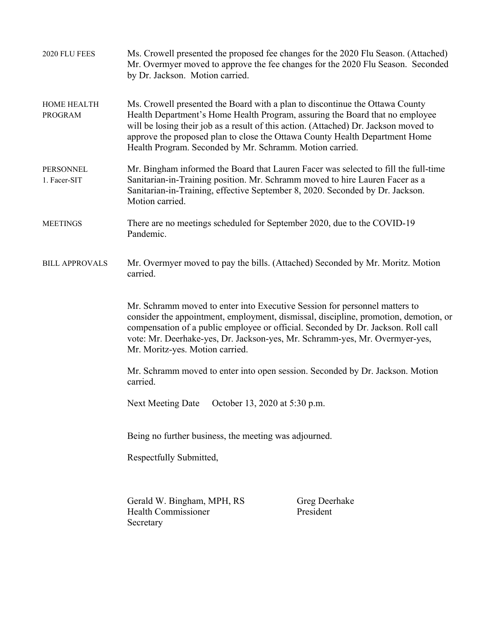| 2020 FLU FEES                        | Ms. Crowell presented the proposed fee changes for the 2020 Flu Season. (Attached)<br>Mr. Overmyer moved to approve the fee changes for the 2020 Flu Season. Seconded<br>by Dr. Jackson. Motion carried.                                                                                                                                                                                                                                                                |                            |  |  |
|--------------------------------------|-------------------------------------------------------------------------------------------------------------------------------------------------------------------------------------------------------------------------------------------------------------------------------------------------------------------------------------------------------------------------------------------------------------------------------------------------------------------------|----------------------------|--|--|
| <b>HOME HEALTH</b><br><b>PROGRAM</b> | Ms. Crowell presented the Board with a plan to discontinue the Ottawa County<br>Health Department's Home Health Program, assuring the Board that no employee<br>will be losing their job as a result of this action. (Attached) Dr. Jackson moved to<br>approve the proposed plan to close the Ottawa County Health Department Home<br>Health Program. Seconded by Mr. Schramm. Motion carried.                                                                         |                            |  |  |
| PERSONNEL<br>1. Facer-SIT            | Mr. Bingham informed the Board that Lauren Facer was selected to fill the full-time<br>Sanitarian-in-Training position. Mr. Schramm moved to hire Lauren Facer as a<br>Sanitarian-in-Training, effective September 8, 2020. Seconded by Dr. Jackson.<br>Motion carried.                                                                                                                                                                                                 |                            |  |  |
| <b>MEETINGS</b>                      | There are no meetings scheduled for September 2020, due to the COVID-19<br>Pandemic.                                                                                                                                                                                                                                                                                                                                                                                    |                            |  |  |
| <b>BILL APPROVALS</b>                | Mr. Overmyer moved to pay the bills. (Attached) Seconded by Mr. Moritz. Motion<br>carried.<br>Mr. Schramm moved to enter into Executive Session for personnel matters to<br>consider the appointment, employment, dismissal, discipline, promotion, demotion, or<br>compensation of a public employee or official. Seconded by Dr. Jackson. Roll call<br>vote: Mr. Deerhake-yes, Dr. Jackson-yes, Mr. Schramm-yes, Mr. Overmyer-yes,<br>Mr. Moritz-yes. Motion carried. |                            |  |  |
|                                      |                                                                                                                                                                                                                                                                                                                                                                                                                                                                         |                            |  |  |
|                                      | Mr. Schramm moved to enter into open session. Seconded by Dr. Jackson. Motion                                                                                                                                                                                                                                                                                                                                                                                           |                            |  |  |
|                                      | October 13, 2020 at 5:30 p.m.<br>Next Meeting Date                                                                                                                                                                                                                                                                                                                                                                                                                      |                            |  |  |
|                                      | Being no further business, the meeting was adjourned.                                                                                                                                                                                                                                                                                                                                                                                                                   |                            |  |  |
|                                      |                                                                                                                                                                                                                                                                                                                                                                                                                                                                         |                            |  |  |
|                                      | Gerald W. Bingham, MPH, RS<br><b>Health Commissioner</b><br>Secretary                                                                                                                                                                                                                                                                                                                                                                                                   | Greg Deerhake<br>President |  |  |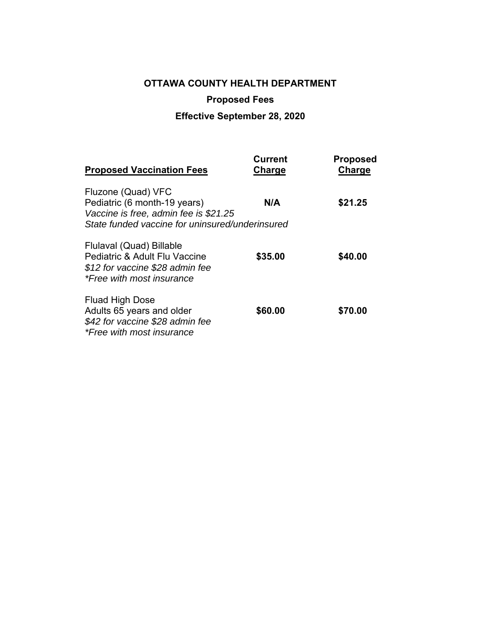# **OTTAWA COUNTY HEALTH DEPARTMENT Proposed Fees**

## **Effective September 28, 2020**

| <b>Proposed Vaccination Fees</b>                                                                                          | <b>Current</b><br>Charge | <b>Proposed</b><br>Charge |
|---------------------------------------------------------------------------------------------------------------------------|--------------------------|---------------------------|
| Fluzone (Quad) VFC<br>Pediatric (6 month-19 years)<br>Vaccine is free, admin fee is \$21.25                               | N/A                      | \$21.25                   |
| State funded vaccine for uninsured/underinsured                                                                           |                          |                           |
| Flulaval (Quad) Billable<br>Pediatric & Adult Flu Vaccine<br>\$12 for vaccine \$28 admin fee<br>*Free with most insurance | \$35.00                  | \$40.00                   |
| Fluad High Dose<br>Adults 65 years and older<br>\$42 for vaccine \$28 admin fee<br>*Free with most insurance              | \$60.00                  | \$70.00                   |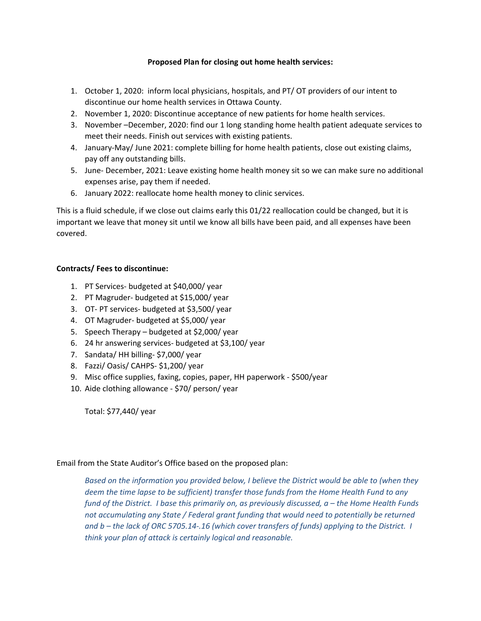#### **Proposed Plan for closing out home health services:**

- 1. October 1, 2020: inform local physicians, hospitals, and PT/ OT providers of our intent to discontinue our home health services in Ottawa County.
- 2. November 1, 2020: Discontinue acceptance of new patients for home health services.
- 3. November –December, 2020: find our 1 long standing home health patient adequate services to meet their needs. Finish out services with existing patients.
- 4. January-May/ June 2021: complete billing for home health patients, close out existing claims, pay off any outstanding bills.
- 5. June- December, 2021: Leave existing home health money sit so we can make sure no additional expenses arise, pay them if needed.
- 6. January 2022: reallocate home health money to clinic services.

This is a fluid schedule, if we close out claims early this 01/22 reallocation could be changed, but it is important we leave that money sit until we know all bills have been paid, and all expenses have been covered.

#### **Contracts/ Fees to discontinue:**

- 1. PT Services‐ budgeted at \$40,000/ year
- 2. PT Magruder‐ budgeted at \$15,000/ year
- 3. OT‐ PT services‐ budgeted at \$3,500/ year
- 4. OT Magruder‐ budgeted at \$5,000/ year
- 5. Speech Therapy budgeted at \$2,000/ year
- 6. 24 hr answering services‐ budgeted at \$3,100/ year
- 7. Sandata/ HH billing‐ \$7,000/ year
- 8. Fazzi/ Oasis/ CAHPS‐ \$1,200/ year
- 9. Misc office supplies, faxing, copies, paper, HH paperwork ‐ \$500/year
- 10. Aide clothing allowance ‐ \$70/ person/ year

Total: \$77,440/ year

#### Email from the State Auditor's Office based on the proposed plan:

*Based on the information you provided below, I believe the District would be able to (when they deem the time lapse to be sufficient) transfer those funds from the Home Health Fund to any fund of the District. I base this primarily on, as previously discussed, a – the Home Health Funds not accumulating any State / Federal grant funding that would need to potentially be returned and b – the lack of ORC 5705.14‐.16 (which cover transfers of funds) applying to the District. I think your plan of attack is certainly logical and reasonable.*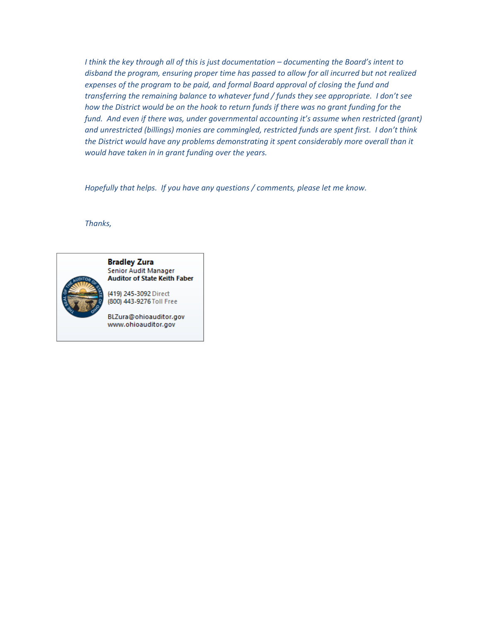*I think the key through all of this is just documentation – documenting the Board's intent to disband the program, ensuring proper time has passed to allow for all incurred but not realized expenses of the program to be paid, and formal Board approval of closing the fund and transferring the remaining balance to whatever fund / funds they see appropriate. I don't see how the District would be on the hook to return funds if there was no grant funding for the fund. And even if there was, under governmental accounting it's assume when restricted (grant) and unrestricted (billings) monies are commingled, restricted funds are spent first. I don't think the District would have any problems demonstrating it spent considerably more overall than it would have taken in in grant funding over the years.* 

*Hopefully that helps. If you have any questions / comments, please let me know.* 

*Thanks,* 

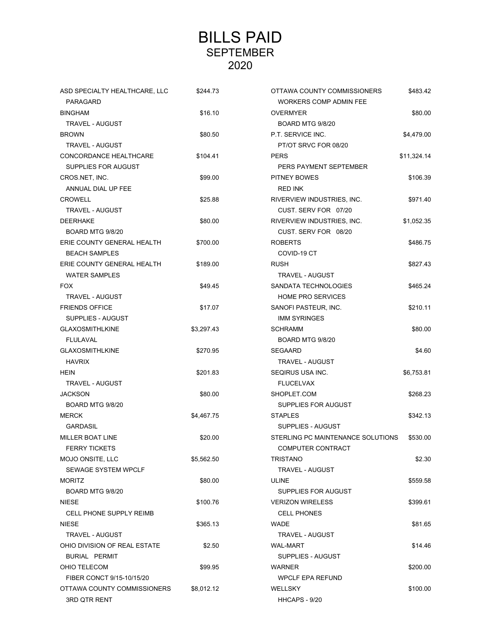## BILLS PAID SEPTEMBER 2020

| ASD SPECIALTY HEALTHCARE, LLC  | \$244.73   | OTTAWA COUNTY COMMISSIONERS       | \$483.42    |
|--------------------------------|------------|-----------------------------------|-------------|
| PARAGARD                       |            | <b>WORKERS COMP ADMIN FEE</b>     |             |
| <b>BINGHAM</b>                 | \$16.10    | <b>OVERMYER</b>                   |             |
| <b>TRAVEL - AUGUST</b>         |            | BOARD MTG 9/8/20                  |             |
| <b>BROWN</b>                   | \$80.50    | P.T. SERVICE INC.                 | \$4,479.00  |
| <b>TRAVEL - AUGUST</b>         |            | PT/OT SRVC FOR 08/20              |             |
| CONCORDANCE HEALTHCARE         | \$104.41   | <b>PERS</b>                       | \$11,324.14 |
| SUPPLIES FOR AUGUST            |            | PERS PAYMENT SEPTEMBER            |             |
| CROS.NET, INC.                 | \$99.00    | PITNEY BOWES                      | \$106.39    |
| ANNUAL DIAL UP FEE             |            | <b>RED INK</b>                    |             |
| <b>CROWELL</b>                 | \$25.88    | RIVERVIEW INDUSTRIES, INC.        | \$971.40    |
| <b>TRAVEL - AUGUST</b>         |            | CUST. SERV FOR 07/20              |             |
| <b>DEERHAKE</b>                | \$80.00    | RIVERVIEW INDUSTRIES, INC.        | \$1,052.35  |
| BOARD MTG 9/8/20               |            | CUST. SERV FOR 08/20              |             |
| ERIE COUNTY GENERAL HEALTH     | \$700.00   | <b>ROBERTS</b>                    | \$486.75    |
| <b>BEACH SAMPLES</b>           |            | COVID-19 CT                       |             |
| ERIE COUNTY GENERAL HEALTH     | \$189.00   | <b>RUSH</b>                       | \$827.43    |
| <b>WATER SAMPLES</b>           |            | TRAVEL - AUGUST                   |             |
| <b>FOX</b>                     | \$49.45    | SANDATA TECHNOLOGIES              | \$465.24    |
| <b>TRAVEL - AUGUST</b>         |            | <b>HOME PRO SERVICES</b>          |             |
| <b>FRIENDS OFFICE</b>          | \$17.07    | SANOFI PASTEUR, INC.              | \$210.11    |
| SUPPLIES - AUGUST              |            | <b>IMM SYRINGES</b>               |             |
| <b>GLAXOSMITHLKINE</b>         | \$3,297.43 | <b>SCHRAMM</b>                    | \$80.00     |
| <b>FLULAVAL</b>                |            | BOARD MTG 9/8/20                  |             |
| <b>GLAXOSMITHLKINE</b>         | \$270.95   | <b>SEGAARD</b>                    | \$4.60      |
| <b>HAVRIX</b>                  |            | <b>TRAVEL - AUGUST</b>            |             |
| <b>HEIN</b>                    | \$201.83   | SEQIRUS USA INC.                  | \$6,753.81  |
| <b>TRAVEL - AUGUST</b>         |            | <b>FLUCELVAX</b>                  |             |
| <b>JACKSON</b>                 | \$80.00    | SHOPLET.COM                       | \$268.23    |
| BOARD MTG 9/8/20               |            | SUPPLIES FOR AUGUST               |             |
| <b>MERCK</b>                   | \$4,467.75 | <b>STAPLES</b>                    | \$342.13    |
| <b>GARDASIL</b>                |            | SUPPLIES - AUGUST                 |             |
| MILLER BOAT LINE               | \$20.00    | STERLING PC MAINTENANCE SOLUTIONS | \$530.00    |
| <b>FERRY TICKETS</b>           |            | COMPUTER CONTRACT                 |             |
| MOJO ONSITE, LLC               | \$5,562.50 | <b>TRISTANO</b>                   | \$2.30      |
| <b>SEWAGE SYSTEM WPCLF</b>     |            | TRAVEL - AUGUST                   |             |
| <b>MORITZ</b>                  | \$80.00    | ULINE                             | \$559.58    |
| <b>BOARD MTG 9/8/20</b>        |            | SUPPLIES FOR AUGUST               |             |
| <b>NIESE</b>                   | \$100.76   | <b>VERIZON WIRELESS</b>           | \$399.61    |
| <b>CELL PHONE SUPPLY REIMB</b> |            | <b>CELL PHONES</b>                |             |
| <b>NIESE</b>                   | \$365.13   | <b>WADE</b>                       | \$81.65     |
| <b>TRAVEL - AUGUST</b>         |            | <b>TRAVEL - AUGUST</b>            |             |
| OHIO DIVISION OF REAL ESTATE   | \$2.50     | <b>WAL-MART</b>                   | \$14.46     |
| BURIAL PERMIT                  |            | SUPPLIES - AUGUST                 |             |
| OHIO TELECOM                   | \$99.95    | <b>WARNER</b>                     | \$200.00    |
| FIBER CONCT 9/15-10/15/20      |            | <b>WPCLF EPA REFUND</b>           |             |
| OTTAWA COUNTY COMMISSIONERS    | \$8,012.12 | WELLSKY                           | \$100.00    |
| 3RD QTR RENT                   |            | HHCAPS - 9/20                     |             |